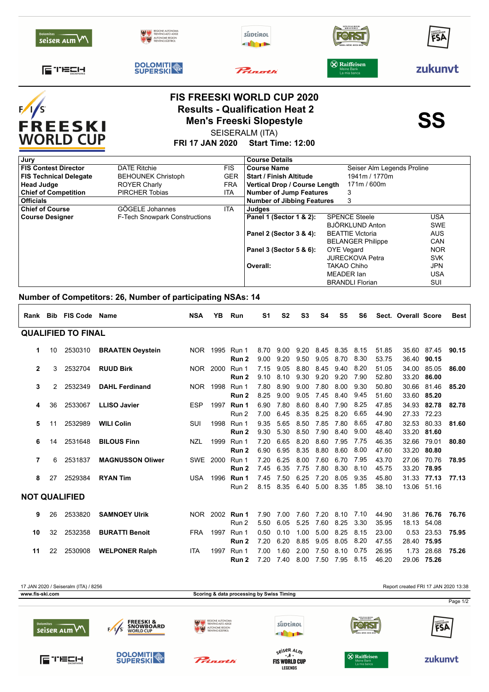| <b>Dolomites</b><br>seiser arm VV         | ENTINO-ALTO ADIG<br>autonome region<br>prentino súdtiroj |                        | süptirol                                                                                                                                                     | <b>SPEZIALBIER</b><br><b>BRAUEREI</b>  | FSA       |  |  |  |
|-------------------------------------------|----------------------------------------------------------|------------------------|--------------------------------------------------------------------------------------------------------------------------------------------------------------|----------------------------------------|-----------|--|--|--|
| [⊑ TECH                                   | <b>DOLOMITI</b>                                          |                        | Princetti                                                                                                                                                    | $\circledR$ Raiffeisen<br>La mia banca | zukunvt   |  |  |  |
| F/1<br><b>FREESKI</b><br><b>WORLD CUP</b> |                                                          | <b>FRI 17 JAN 2020</b> | <b>FIS FREESKI WORLD CUP 2020</b><br><b>Results - Qualification Heat 2</b><br><b>Men's Freeski Slopestyle</b><br>SEISERALM (ITA)<br><b>Start Time: 12:00</b> |                                        | <b>SS</b> |  |  |  |
| Jury                                      |                                                          |                        | <b>Course Details</b>                                                                                                                                        |                                        |           |  |  |  |
| <b>FIS Contest Director</b>               | <b>DATE Ritchie</b>                                      | <b>FIS</b>             | Seiser Alm Legends Proline                                                                                                                                   |                                        |           |  |  |  |

| <b>FIS Technical Delegate</b> | <b>BEHOUNEK Christoph</b>            | <b>GER</b> | <b>Start / Finish Altitude</b>    | 1941m / 1770m                       |            |  |  |  |  |  |
|-------------------------------|--------------------------------------|------------|-----------------------------------|-------------------------------------|------------|--|--|--|--|--|
| <b>Head Judge</b>             | ROYER Charly                         | <b>FRA</b> | Vertical Drop / Course Length     |                                     |            |  |  |  |  |  |
| <b>Chief of Competition</b>   | <b>PIRCHER Tobias</b>                | <b>ITA</b> |                                   | <b>Number of Jump Features</b><br>3 |            |  |  |  |  |  |
| <b>Officials</b>              |                                      |            | <b>Number of Jibbing Features</b> | 3                                   |            |  |  |  |  |  |
| <b>Chief of Course</b>        | GÖGELE Johannes                      | <b>ITA</b> | <b>Judges</b>                     |                                     |            |  |  |  |  |  |
| <b>Course Designer</b>        | <b>F-Tech Snowpark Constructions</b> |            | Panel 1 (Sector 1 & 2):           | USA                                 |            |  |  |  |  |  |
|                               |                                      |            |                                   | BJÖRKLUND Anton                     | <b>SWE</b> |  |  |  |  |  |
|                               |                                      |            | Panel 2 (Sector 3 & 4):           | <b>BEATTIE Victoria</b>             | <b>AUS</b> |  |  |  |  |  |
|                               |                                      |            |                                   | <b>BELANGER Philippe</b>            | <b>CAN</b> |  |  |  |  |  |
|                               |                                      |            | Panel 3 (Sector 5 & 6):           | <b>OYE</b> Vegard                   | <b>NOR</b> |  |  |  |  |  |
|                               |                                      |            |                                   | <b>JURECKOVA Petra</b>              | <b>SVK</b> |  |  |  |  |  |
|                               |                                      |            | Overall:                          | TAKAO Chiho                         | JPN        |  |  |  |  |  |
|                               |                                      |            |                                   | MEADER Ian                          | <b>USA</b> |  |  |  |  |  |
|                               |                                      |            |                                   | <b>BRANDLI Florian</b>              | SUI        |  |  |  |  |  |
|                               |                                      |            |                                   |                                     |            |  |  |  |  |  |

## **Number of Competitors: 26, Number of participating NSAs: 14**

|                           |    | Rank Bib FIS Code Name |                         | <b>NSA</b> | ΥB       | Run                     | S <sub>1</sub> | S <sub>2</sub> | S <sub>3</sub> | S4           | S <sub>5</sub> | S6           |                | Sect. Overall Score |                            | Best  |
|---------------------------|----|------------------------|-------------------------|------------|----------|-------------------------|----------------|----------------|----------------|--------------|----------------|--------------|----------------|---------------------|----------------------------|-------|
| <b>QUALIFIED TO FINAL</b> |    |                        |                         |            |          |                         |                |                |                |              |                |              |                |                     |                            |       |
| 1                         | 10 | 2530310                | <b>BRAATEN Oeystein</b> |            | NOR 1995 | Run 1<br>Run 2          | 8.70<br>9.00   | 9.00<br>9.20   | 9.20<br>9.50   | 8.45<br>9.05 | 8.35<br>8.70   | 8.15<br>8.30 | 51.85<br>53.75 |                     | 35.60 87.45<br>36.40 90.15 | 90.15 |
| $\mathbf{2}$              | 3  | 2532704                | <b>RUUD Birk</b>        |            | NOR 2000 | Run 1<br>Run 2          | 7.15<br>9.10   | 9.05<br>8.10   | 8.80<br>9.30   | 8.45<br>9.20 | 9.40<br>9.20   | 8.20<br>7.90 | 51.05<br>52.80 | 34.00               | 85.05<br>33.20 86.00       | 86.00 |
| 3                         | 2  | 2532349                | <b>DAHL Ferdinand</b>   |            | NOR 1998 | Run 1<br>Run 2          | 7.80<br>8.25   | 8.90<br>9.00   | 9.00<br>9.05   | 7.80<br>7.45 | 8.00<br>8.40   | 9.30<br>9.45 | 50.80<br>51.60 |                     | 30.66 81.46<br>33.60 85.20 | 85.20 |
| 4                         | 36 | 2533067                | <b>LLISO Javier</b>     | <b>ESP</b> | 1997     | Run 1<br>Run 2          | 6.90<br>7.00   | 7.80<br>6.45   | 8.60<br>8.35   | 8.40<br>8.25 | 7.90<br>8.20   | 8.25<br>6.65 | 47.85<br>44.90 | 34.93               | 82.78<br>27.33 72.23       | 82.78 |
| 5                         | 11 | 2532989                | <b>WILI Colin</b>       | <b>SUI</b> | 1998     | Run 1<br>Run 2          | 9.35<br>9.30   | 5.65<br>5.30   | 8.50<br>8.50   | 7.85<br>7.90 | 7.80<br>8.40   | 8.65<br>9.00 | 47.80<br>48.40 | 32.53               | 80.33<br>33.20 81.60       | 81.60 |
| 6                         | 14 | 2531648                | <b>BILOUS Finn</b>      | <b>NZL</b> | 1999     | Run 1<br>Run 2          | 7.20<br>6.90   | 6.65<br>6.95   | 8.20<br>8.35   | 8.60<br>8.80 | 7.95<br>8.60   | 7.75<br>8.00 | 46.35<br>47.60 | 32.66               | 79.01<br>33.20 80.80       | 80.80 |
| 7                         | 6  | 2531837                | <b>MAGNUSSON Oliwer</b> | SWE        | 2000     | Run 1<br>Run 2          | 7.20<br>7.45   | 6.25<br>6.35   | 8.00<br>7.75   | 7.60<br>7.80 | 6.70<br>8.30   | 7.95<br>8.10 | 43.70<br>45.75 | 27.06               | 70.76<br>33.20 78.95       | 78.95 |
| 8                         | 27 | 2529384                | <b>RYAN Tim</b>         |            | USA 1996 | Run 1<br>Run 2          | 7.45<br>8.15   | 7.50<br>8.35   | 6.25<br>6.40   | 7.20<br>5.00 | 8.05<br>8.35   | 9.35<br>1.85 | 45.80<br>38.10 | 31.33               | 77.13<br>13.06 51.16       | 77.13 |
| <b>NOT QUALIFIED</b>      |    |                        |                         |            |          |                         |                |                |                |              |                |              |                |                     |                            |       |
| 9                         | 26 | 2533820                | <b>SAMNOEY Ulrik</b>    |            |          | NOR 2002 Run 1<br>Run 2 | 7.90<br>5.50   | 7.00<br>6.05   | 7.60<br>5.25   | 7.20<br>7.60 | 8.10<br>8.25   | 7.10<br>3.30 | 44.90<br>35.95 |                     | 31.86 76.76<br>18.13 54.08 | 76.76 |
| 10                        | 32 | 2532358                | <b>BURATTI Benoit</b>   | <b>FRA</b> | 1997     | Run 1<br>Run 2          | 0.50<br>7.20   | 0.10<br>6.20   | 1.00<br>8.85   | 5.00<br>9.05 | 8.25<br>8.05   | 8.15<br>8.20 | 23.00<br>47.55 | 0.53                | 23.53<br>28.40 75.95       | 75.95 |
| 11                        | 22 | 2530908                | <b>WELPONER Ralph</b>   | <b>ITA</b> | 1997     | Run 1<br>Run 2          | 7.00<br>7.20   | 1.60<br>7.40   | 2.00<br>8.00   | 7.50<br>7.50 | 8.10<br>7.95   | 0.75<br>8.15 | 26.95<br>46.20 | 1.73                | 28.68<br>29.06 75.26       | 75.26 |



**LEGENDS**